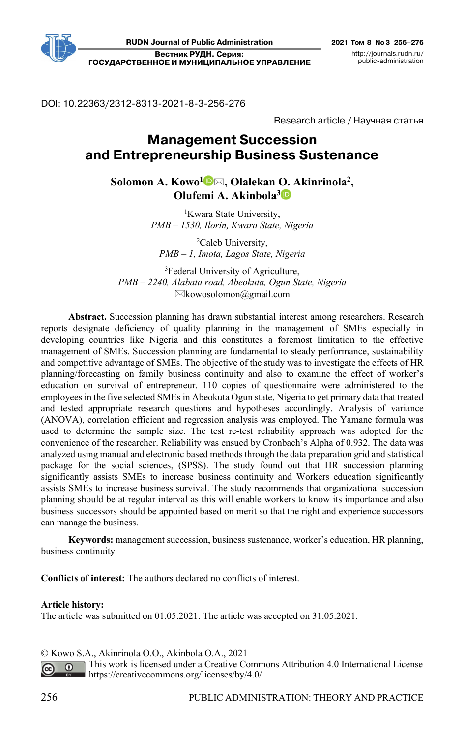DOI: 10.22363/2312-8313-2021-8-3-256-276

Research article / Научная статья

# **Management Succession and Entrepreneurship Business Sustenance1**

Solomon A. Kowo<sup>1</sup><sup>D</sup>⊠, Olalekan O. Akinrinola<sup>2</sup>, **Olufemi A. Akinbola[3](https://orcid.org/0000-0001-7916-4136)** 

> 1 Kwara State University, *PMB – 1530, Ilorin, Kwara State, Nigeria*

2 Caleb University, *PMB – 1, Imota, Lagos State, Nigeria* 

3 Federal University of Agriculture, *PMB – 2240, Alabata road, Abeokuta, Ogun State, Nigeria*   $\boxtimes$ kowosolomon@gmail.com

**Abstract.** Succession planning has drawn substantial interest among researchers. Research reports designate deficiency of quality planning in the management of SMEs especially in developing countries like Nigeria and this constitutes a foremost limitation to the effective management of SMEs. Succession planning are fundamental to steady performance, sustainability and competitive advantage of SMEs. The objective of the study was to investigate the effects of HR planning/forecasting on family business continuity and also to examine the effect of worker's education on survival of entrepreneur. 110 copies of questionnaire were administered to the employees in the five selected SMEs in Abeokuta Ogun state, Nigeria to get primary data that treated and tested appropriate research questions and hypotheses accordingly. Analysis of variance (ANOVA), correlation efficient and regression analysis was employed. The Yamane formula was used to determine the sample size. The test re-test reliability approach was adopted for the convenience of the researcher. Reliability was ensued by Cronbach's Alpha of 0.932. The data was analyzed using manual and electronic based methods through the data preparation grid and statistical package for the social sciences, (SPSS). The study found out that HR succession planning significantly assists SMEs to increase business continuity and Workers education significantly assists SMEs to increase business survival. The study recommends that organizational succession planning should be at regular interval as this will enable workers to know its importance and also business successors should be appointed based on merit so that the right and experience successors can manage the business.

**Keywords:** management succession, business sustenance, worker's education, HR planning, business continuity

**Conflicts of interest:** The authors declared no conflicts of interest.

#### **Article history:**

The article was submitted on 01.05.2021. The article was accepted on 31.05.2021.

<sup>©</sup> Kowo S.A., Akinrinola O.O., Akinbola O.A., 2021

This work is licensed under a Creative Commons Attribution 4.0 International License  $\overline{()}$ https://creativecommons.org/licenses/by/4.0/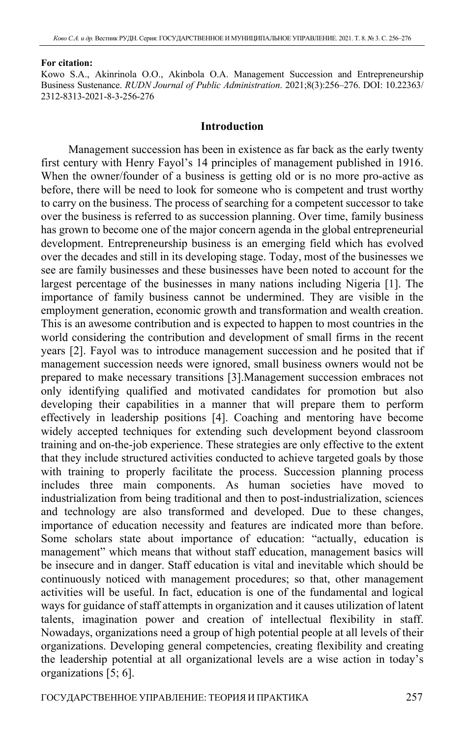#### **For citation:**

Kowo S.A., Akinrinola O.O., Akinbola O.A. Management Succession and Entrepreneurship Business Sustenance. *RUDN Journal of Public Administration*. 2021;8(3):256–276. DOI: 10.22363/ 2312-8313-2021-8-3-256-276

### **Introduction**

Management succession has been in existence as far back as the early twenty first century with Henry Fayol's 14 principles of management published in 1916. When the owner/founder of a business is getting old or is no more pro-active as before, there will be need to look for someone who is competent and trust worthy to carry on the business. The process of searching for a competent successor to take over the business is referred to as succession planning. Over time, family business has grown to become one of the major concern agenda in the global entrepreneurial development. Entrepreneurship business is an emerging field which has evolved over the decades and still in its developing stage. Today, most of the businesses we see are family businesses and these businesses have been noted to account for the largest percentage of the businesses in many nations including Nigeria [1]. The importance of family business cannot be undermined. They are visible in the employment generation, economic growth and transformation and wealth creation. This is an awesome contribution and is expected to happen to most countries in the world considering the contribution and development of small firms in the recent years [2]. Fayol was to introduce management succession and he posited that if management succession needs were ignored, small business owners would not be prepared to make necessary transitions [3].Management succession embraces not only identifying qualified and motivated candidates for promotion but also developing their capabilities in a manner that will prepare them to perform effectively in leadership positions [4]. Coaching and mentoring have become widely accepted techniques for extending such development beyond classroom training and on-the-job experience. These strategies are only effective to the extent that they include structured activities conducted to achieve targeted goals by those with training to properly facilitate the process. Succession planning process includes three main components. As human societies have moved to industrialization from being traditional and then to post-industrialization, sciences and technology are also transformed and developed. Due to these changes, importance of education necessity and features are indicated more than before. Some scholars state about importance of education: "actually, education is management" which means that without staff education, management basics will be insecure and in danger. Staff education is vital and inevitable which should be continuously noticed with management procedures; so that, other management activities will be useful. In fact, education is one of the fundamental and logical ways for guidance of staff attempts in organization and it causes utilization of latent talents, imagination power and creation of intellectual flexibility in staff. Nowadays, organizations need a group of high potential people at all levels of their organizations. Developing general competencies, creating flexibility and creating the leadership potential at all organizational levels are a wise action in today's organizations [5; 6].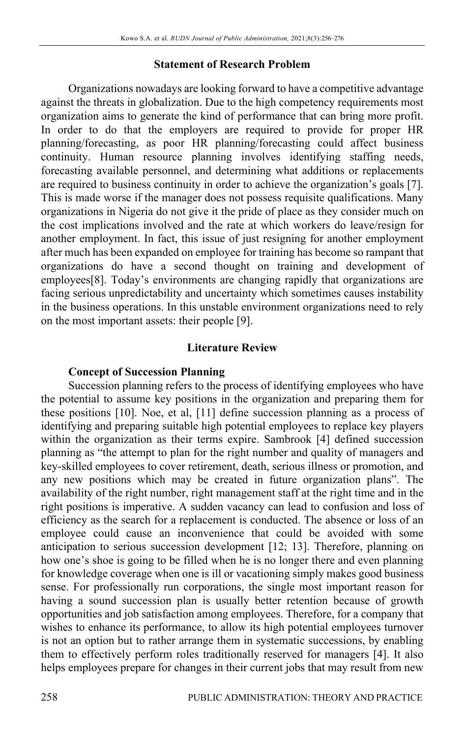## **Statement of Research Problem**

Organizations nowadays are looking forward to have a competitive advantage against the threats in globalization. Due to the high competency requirements most organization aims to generate the kind of performance that can bring more profit. In order to do that the employers are required to provide for proper HR planning/forecasting, as poor HR planning/forecasting could affect business continuity. Human resource planning involves identifying staffing needs, forecasting available personnel, and determining what additions or replacements are required to business continuity in order to achieve the organization's goals [7]. This is made worse if the manager does not possess requisite qualifications. Many organizations in Nigeria do not give it the pride of place as they consider much on the cost implications involved and the rate at which workers do leave/resign for another employment. In fact, this issue of just resigning for another employment after much has been expanded on employee for training has become so rampant that organizations do have a second thought on training and development of employees[8]. Today's environments are changing rapidly that organizations are facing serious unpredictability and uncertainty which sometimes causes instability in the business operations. In this unstable environment organizations need to rely on the most important assets: their people [9].

### **Literature Review**

### **Concept of Succession Planning**

Succession planning refers to the process of identifying employees who have the potential to assume key positions in the organization and preparing them for these positions [10]. Noe, et al, [11] define succession planning as a process of identifying and preparing suitable high potential employees to replace key players within the organization as their terms expire. Sambrook [4] defined succession planning as "the attempt to plan for the right number and quality of managers and key-skilled employees to cover retirement, death, serious illness or promotion, and any new positions which may be created in future organization plans". The availability of the right number, right management staff at the right time and in the right positions is imperative. A sudden vacancy can lead to confusion and loss of efficiency as the search for a replacement is conducted. The absence or loss of an employee could cause an inconvenience that could be avoided with some anticipation to serious succession development [12; 13]. Therefore, planning on how one's shoe is going to be filled when he is no longer there and even planning for knowledge coverage when one is ill or vacationing simply makes good business sense. For professionally run corporations, the single most important reason for having a sound succession plan is usually better retention because of growth opportunities and job satisfaction among employees. Therefore, for a company that wishes to enhance its performance, to allow its high potential employees turnover is not an option but to rather arrange them in systematic successions, by enabling them to effectively perform roles traditionally reserved for managers [4]. It also helps employees prepare for changes in their current jobs that may result from new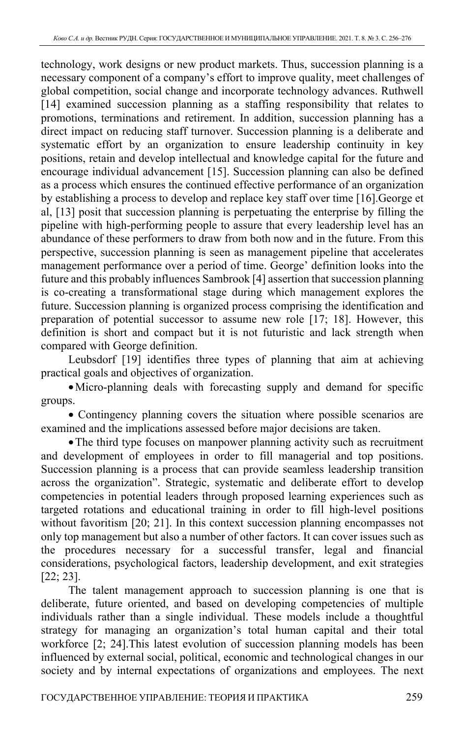technology, work designs or new product markets. Thus, succession planning is a necessary component of a company's effort to improve quality, meet challenges of global competition, social change and incorporate technology advances. Ruthwell [14] examined succession planning as a staffing responsibility that relates to promotions, terminations and retirement. In addition, succession planning has a direct impact on reducing staff turnover. Succession planning is a deliberate and systematic effort by an organization to ensure leadership continuity in key positions, retain and develop intellectual and knowledge capital for the future and encourage individual advancement [15]. Succession planning can also be defined as a process which ensures the continued effective performance of an organization by establishing a process to develop and replace key staff over time [16].George et al, [13] posit that succession planning is perpetuating the enterprise by filling the pipeline with high-performing people to assure that every leadership level has an abundance of these performers to draw from both now and in the future. From this perspective, succession planning is seen as management pipeline that accelerates management performance over a period of time. George' definition looks into the future and this probably influences Sambrook [4] assertion that succession planning is co-creating a transformational stage during which management explores the future. Succession planning is organized process comprising the identification and preparation of potential successor to assume new role [17; 18]. However, this definition is short and compact but it is not futuristic and lack strength when compared with George definition.

Leubsdorf [19] identifies three types of planning that aim at achieving practical goals and objectives of organization.

•Micro-planning deals with forecasting supply and demand for specific groups.

• Contingency planning covers the situation where possible scenarios are examined and the implications assessed before major decisions are taken.

•The third type focuses on manpower planning activity such as recruitment and development of employees in order to fill managerial and top positions. Succession planning is a process that can provide seamless leadership transition across the organization". Strategic, systematic and deliberate effort to develop competencies in potential leaders through proposed learning experiences such as targeted rotations and educational training in order to fill high-level positions without favoritism [20; 21]. In this context succession planning encompasses not only top management but also a number of other factors. It can cover issues such as the procedures necessary for a successful transfer, legal and financial considerations, psychological factors, leadership development, and exit strategies [22; 23].

The talent management approach to succession planning is one that is deliberate, future oriented, and based on developing competencies of multiple individuals rather than a single individual. These models include a thoughtful strategy for managing an organization's total human capital and their total workforce [2; 24].This latest evolution of succession planning models has been influenced by external social, political, economic and technological changes in our society and by internal expectations of organizations and employees. The next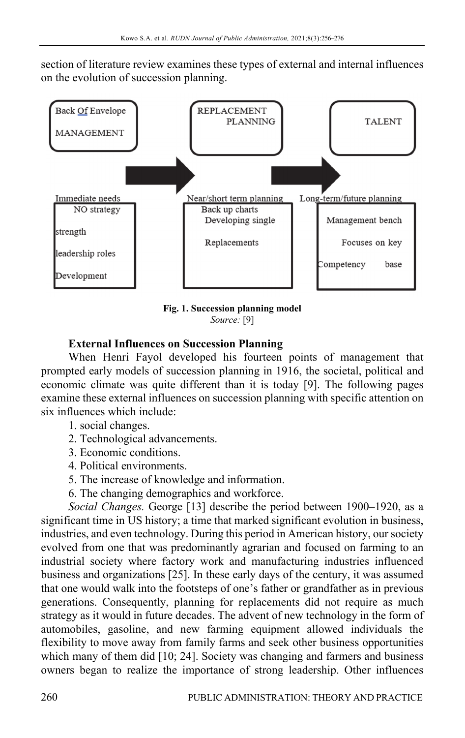section of literature review examines these types of external and internal influences on the evolution of succession planning.



**Fig. 1. Succession planning model**  *Source:* [9]

# **External Influences on Succession Planning**

When Henri Fayol developed his fourteen points of management that prompted early models of succession planning in 1916, the societal, political and economic climate was quite different than it is today [9]. The following pages examine these external influences on succession planning with specific attention on six influences which include:

- 1. social changes.
- 2. Technological advancements.
- 3. Economic conditions.
- 4. Political environments.
- 5. The increase of knowledge and information.
- 6. The changing demographics and workforce.

*Social Changes.* George [13] describe the period between 1900–1920, as a significant time in US history; a time that marked significant evolution in business, industries, and even technology. During this period in American history, our society evolved from one that was predominantly agrarian and focused on farming to an industrial society where factory work and manufacturing industries influenced business and organizations [25]. In these early days of the century, it was assumed that one would walk into the footsteps of one's father or grandfather as in previous generations. Consequently, planning for replacements did not require as much strategy as it would in future decades. The advent of new technology in the form of automobiles, gasoline, and new farming equipment allowed individuals the flexibility to move away from family farms and seek other business opportunities which many of them did [10; 24]. Society was changing and farmers and business owners began to realize the importance of strong leadership. Other influences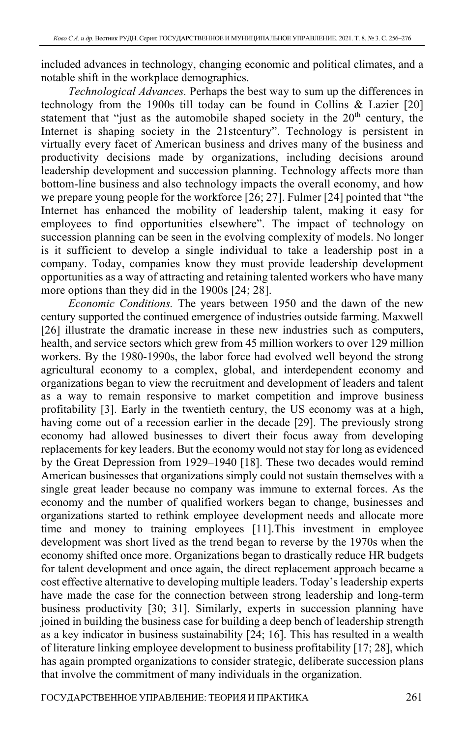included advances in technology, changing economic and political climates, and a notable shift in the workplace demographics.

*Technological Advances.* Perhaps the best way to sum up the differences in technology from the 1900s till today can be found in Collins & Lazier [20] statement that "just as the automobile shaped society in the 20<sup>th</sup> century, the Internet is shaping society in the 21stcentury". Technology is persistent in virtually every facet of American business and drives many of the business and productivity decisions made by organizations, including decisions around leadership development and succession planning. Technology affects more than bottom-line business and also technology impacts the overall economy, and how we prepare young people for the workforce [26; 27]. Fulmer [24] pointed that "the Internet has enhanced the mobility of leadership talent, making it easy for employees to find opportunities elsewhere". The impact of technology on succession planning can be seen in the evolving complexity of models. No longer is it sufficient to develop a single individual to take a leadership post in a company. Today, companies know they must provide leadership development opportunities as a way of attracting and retaining talented workers who have many more options than they did in the 1900s [24; 28].

*Economic Conditions.* The years between 1950 and the dawn of the new century supported the continued emergence of industries outside farming. Maxwell [26] illustrate the dramatic increase in these new industries such as computers, health, and service sectors which grew from 45 million workers to over 129 million workers. By the 1980-1990s, the labor force had evolved well beyond the strong agricultural economy to a complex, global, and interdependent economy and organizations began to view the recruitment and development of leaders and talent as a way to remain responsive to market competition and improve business profitability [3]. Early in the twentieth century, the US economy was at a high, having come out of a recession earlier in the decade [29]. The previously strong economy had allowed businesses to divert their focus away from developing replacements for key leaders. But the economy would not stay for long as evidenced by the Great Depression from 1929–1940 [18]. These two decades would remind American businesses that organizations simply could not sustain themselves with a single great leader because no company was immune to external forces. As the economy and the number of qualified workers began to change, businesses and organizations started to rethink employee development needs and allocate more time and money to training employees [11].This investment in employee development was short lived as the trend began to reverse by the 1970s when the economy shifted once more. Organizations began to drastically reduce HR budgets for talent development and once again, the direct replacement approach became a cost effective alternative to developing multiple leaders. Today's leadership experts have made the case for the connection between strong leadership and long-term business productivity [30; 31]. Similarly, experts in succession planning have joined in building the business case for building a deep bench of leadership strength as a key indicator in business sustainability [24; 16]. This has resulted in a wealth of literature linking employee development to business profitability [17; 28], which has again prompted organizations to consider strategic, deliberate succession plans that involve the commitment of many individuals in the organization.

ГОСУДАРСТВЕННОЕ УПРАВЛЕНИЕ: ТЕОРИЯ И ПРАКТИКА 261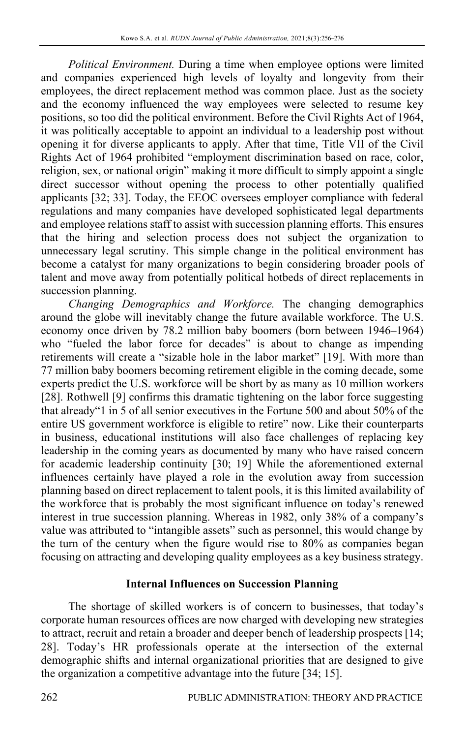*Political Environment.* During a time when employee options were limited and companies experienced high levels of loyalty and longevity from their employees, the direct replacement method was common place. Just as the society and the economy influenced the way employees were selected to resume key positions, so too did the political environment. Before the Civil Rights Act of 1964, it was politically acceptable to appoint an individual to a leadership post without opening it for diverse applicants to apply. After that time, Title VII of the Civil Rights Act of 1964 prohibited "employment discrimination based on race, color, religion, sex, or national origin" making it more difficult to simply appoint a single direct successor without opening the process to other potentially qualified applicants [32; 33]. Today, the EEOC oversees employer compliance with federal regulations and many companies have developed sophisticated legal departments and employee relations staff to assist with succession planning efforts. This ensures that the hiring and selection process does not subject the organization to unnecessary legal scrutiny. This simple change in the political environment has become a catalyst for many organizations to begin considering broader pools of talent and move away from potentially political hotbeds of direct replacements in succession planning.

*Changing Demographics and Workforce.* The changing demographics around the globe will inevitably change the future available workforce. The U.S. economy once driven by 78.2 million baby boomers (born between 1946–1964) who "fueled the labor force for decades" is about to change as impending retirements will create a "sizable hole in the labor market" [19]. With more than 77 million baby boomers becoming retirement eligible in the coming decade, some experts predict the U.S. workforce will be short by as many as 10 million workers [28]. Rothwell [9] confirms this dramatic tightening on the labor force suggesting that already"1 in 5 of all senior executives in the Fortune 500 and about 50% of the entire US government workforce is eligible to retire" now. Like their counterparts in business, educational institutions will also face challenges of replacing key leadership in the coming years as documented by many who have raised concern for academic leadership continuity [30; 19] While the aforementioned external influences certainly have played a role in the evolution away from succession planning based on direct replacement to talent pools, it is this limited availability of the workforce that is probably the most significant influence on today's renewed interest in true succession planning. Whereas in 1982, only 38% of a company's value was attributed to "intangible assets" such as personnel, this would change by the turn of the century when the figure would rise to 80% as companies began focusing on attracting and developing quality employees as a key business strategy.

### **Internal Influences on Succession Planning**

The shortage of skilled workers is of concern to businesses, that today's corporate human resources offices are now charged with developing new strategies to attract, recruit and retain a broader and deeper bench of leadership prospects [14; 28]. Today's HR professionals operate at the intersection of the external demographic shifts and internal organizational priorities that are designed to give the organization a competitive advantage into the future [34; 15].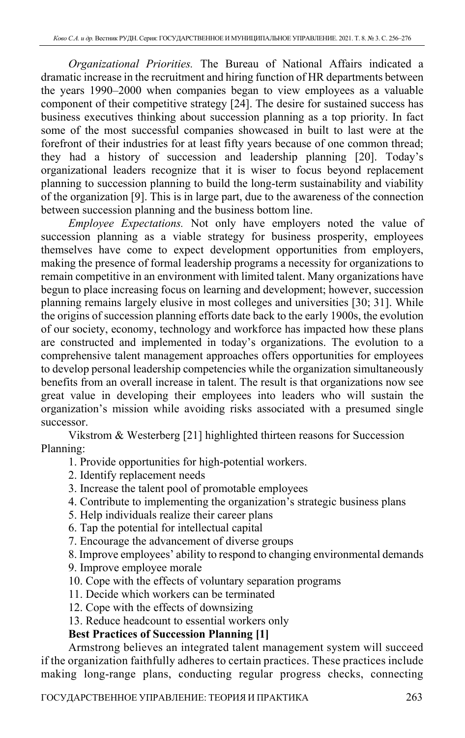*Organizational Priorities.* The Bureau of National Affairs indicated a dramatic increase in the recruitment and hiring function of HR departments between the years 1990–2000 when companies began to view employees as a valuable component of their competitive strategy [24]. The desire for sustained success has business executives thinking about succession planning as a top priority. In fact some of the most successful companies showcased in built to last were at the forefront of their industries for at least fifty years because of one common thread; they had a history of succession and leadership planning [20]. Today's organizational leaders recognize that it is wiser to focus beyond replacement planning to succession planning to build the long-term sustainability and viability of the organization [9]. This is in large part, due to the awareness of the connection between succession planning and the business bottom line.

*Employee Expectations.* Not only have employers noted the value of succession planning as a viable strategy for business prosperity, employees themselves have come to expect development opportunities from employers, making the presence of formal leadership programs a necessity for organizations to remain competitive in an environment with limited talent. Many organizations have begun to place increasing focus on learning and development; however, succession planning remains largely elusive in most colleges and universities [30; 31]. While the origins of succession planning efforts date back to the early 1900s, the evolution of our society, economy, technology and workforce has impacted how these plans are constructed and implemented in today's organizations. The evolution to a comprehensive talent management approaches offers opportunities for employees to develop personal leadership competencies while the organization simultaneously benefits from an overall increase in talent. The result is that organizations now see great value in developing their employees into leaders who will sustain the organization's mission while avoiding risks associated with a presumed single successor.

Vikstrom & Westerberg [21] highlighted thirteen reasons for Succession Planning:

1. Provide opportunities for high‐potential workers.

- 2. Identify replacement needs
- 3. Increase the talent pool of promotable employees
- 4. Contribute to implementing the organization's strategic business plans
- 5. Help individuals realize their career plans
- 6. Tap the potential for intellectual capital
- 7. Encourage the advancement of diverse groups

8. Improve employees' ability to respond to changing environmental demands

9. Improve employee morale

10. Cope with the effects of voluntary separation programs

11. Decide which workers can be terminated

12. Cope with the effects of downsizing

13. Reduce headcount to essential workers only

# **Best Practices of Succession Planning [1]**

Armstrong believes an integrated talent management system will succeed if the organization faithfully adheres to certain practices. These practices include making long-range plans, conducting regular progress checks, connecting

ГОСУДАРСТВЕННОЕ УПРАВЛЕНИЕ: ТЕОРИЯ И ПРАКТИКА 263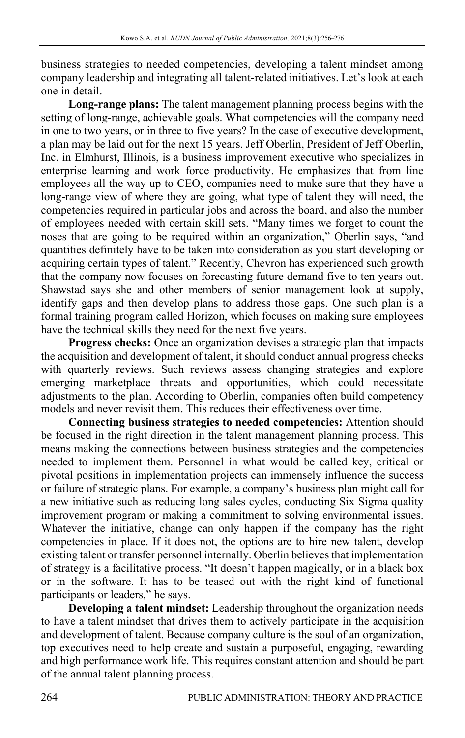business strategies to needed competencies, developing a talent mindset among company leadership and integrating all talent-related initiatives. Let's look at each one in detail.

**Long-range plans:** The talent management planning process begins with the setting of long-range, achievable goals. What competencies will the company need in one to two years, or in three to five years? In the case of executive development, a plan may be laid out for the next 15 years. Jeff Oberlin, President of Jeff Oberlin, Inc. in Elmhurst, Illinois, is a business improvement executive who specializes in enterprise learning and work force productivity. He emphasizes that from line employees all the way up to CEO, companies need to make sure that they have a long-range view of where they are going, what type of talent they will need, the competencies required in particular jobs and across the board, and also the number of employees needed with certain skill sets. "Many times we forget to count the noses that are going to be required within an organization," Oberlin says, "and quantities definitely have to be taken into consideration as you start developing or acquiring certain types of talent." Recently, Chevron has experienced such growth that the company now focuses on forecasting future demand five to ten years out. Shawstad says she and other members of senior management look at supply, identify gaps and then develop plans to address those gaps. One such plan is a formal training program called Horizon, which focuses on making sure employees have the technical skills they need for the next five years.

**Progress checks:** Once an organization devises a strategic plan that impacts the acquisition and development of talent, it should conduct annual progress checks with quarterly reviews. Such reviews assess changing strategies and explore emerging marketplace threats and opportunities, which could necessitate adjustments to the plan. According to Oberlin, companies often build competency models and never revisit them. This reduces their effectiveness over time.

**Connecting business strategies to needed competencies:** Attention should be focused in the right direction in the talent management planning process. This means making the connections between business strategies and the competencies needed to implement them. Personnel in what would be called key, critical or pivotal positions in implementation projects can immensely influence the success or failure of strategic plans. For example, a company's business plan might call for a new initiative such as reducing long sales cycles, conducting Six Sigma quality improvement program or making a commitment to solving environmental issues. Whatever the initiative, change can only happen if the company has the right competencies in place. If it does not, the options are to hire new talent, develop existing talent or transfer personnel internally. Oberlin believes that implementation of strategy is a facilitative process. "It doesn't happen magically, or in a black box or in the software. It has to be teased out with the right kind of functional participants or leaders," he says.

**Developing a talent mindset:** Leadership throughout the organization needs to have a talent mindset that drives them to actively participate in the acquisition and development of talent. Because company culture is the soul of an organization, top executives need to help create and sustain a purposeful, engaging, rewarding and high performance work life. This requires constant attention and should be part of the annual talent planning process.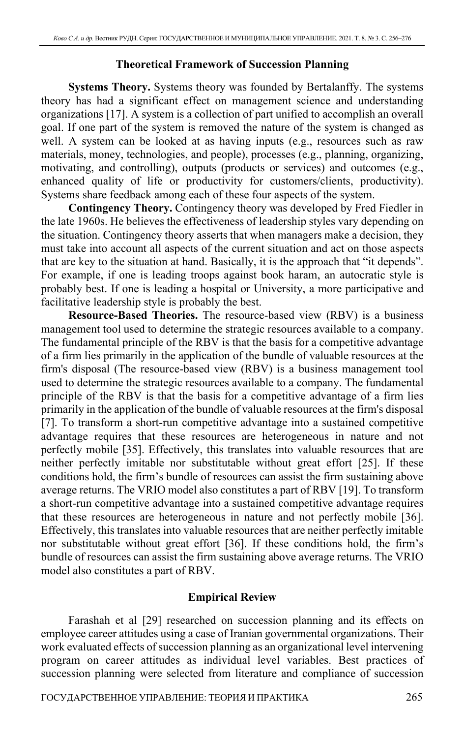## **Theoretical Framework of Succession Planning**

**Systems Theory.** Systems theory was founded by Bertalanffy. The systems theory has had a significant effect on management science and understanding organizations [17]. A system is a collection of part unified to accomplish an overall goal. If one part of the system is removed the nature of the system is changed as well. A system can be looked at as having inputs (e.g., resources such as raw materials, money, technologies, and people), processes (e.g., planning, organizing, motivating, and controlling), outputs (products or services) and outcomes (e.g., enhanced quality of life or productivity for customers/clients, productivity). Systems share feedback among each of these four aspects of the system.

**Contingency Theory.** Contingency theory was developed by Fred Fiedler in the late 1960s. He believes the effectiveness of leadership styles vary depending on the situation. Contingency theory asserts that when managers make a decision, they must take into account all aspects of the current situation and act on those aspects that are key to the situation at hand. Basically, it is the approach that "it depends". For example, if one is leading troops against book haram, an autocratic style is probably best. If one is leading a hospital or University, a more participative and facilitative leadership style is probably the best.

**Resource-Based Theories.** The resource-based view (RBV) is a business management tool used to determine the strategic resources available to a company. The fundamental principle of the RBV is that the basis for a competitive advantage of a firm lies primarily in the application of the bundle of valuable resources at the firm's disposal (The resource-based view (RBV) is a business management tool used to determine the strategic resources available to a company. The fundamental principle of the RBV is that the basis for a competitive advantage of a firm lies primarily in the application of the bundle of valuable resources at the firm's disposal [7]. To transform a short-run competitive advantage into a sustained competitive advantage requires that these resources are heterogeneous in nature and not perfectly mobile [35]. Effectively, this translates into valuable resources that are neither perfectly imitable nor substitutable without great effort [25]. If these conditions hold, the firm's bundle of resources can assist the firm sustaining above average returns. The VRIO model also constitutes a part of RBV [19]. To transform a short-run competitive advantage into a sustained competitive advantage requires that these resources are heterogeneous in nature and not perfectly mobile [36]. Effectively, this translates into valuable resources that are neither perfectly imitable nor substitutable without great effort [36]. If these conditions hold, the firm's bundle of resources can assist the firm sustaining above average returns. The VRIO model also constitutes a part of RBV.

## **Empirical Review**

Farashah et al [29] researched on succession planning and its effects on employee career attitudes using a case of Iranian governmental organizations. Their work evaluated effects of succession planning as an organizational level intervening program on career attitudes as individual level variables. Best practices of succession planning were selected from literature and compliance of succession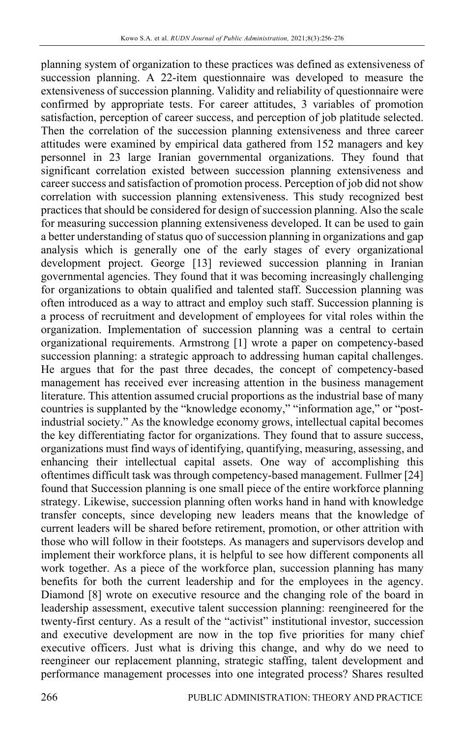planning system of organization to these practices was defined as extensiveness of succession planning. A 22-item questionnaire was developed to measure the extensiveness of succession planning. Validity and reliability of questionnaire were confirmed by appropriate tests. For career attitudes, 3 variables of promotion satisfaction, perception of career success, and perception of job platitude selected. Then the correlation of the succession planning extensiveness and three career attitudes were examined by empirical data gathered from 152 managers and key personnel in 23 large Iranian governmental organizations. They found that significant correlation existed between succession planning extensiveness and career success and satisfaction of promotion process. Perception of job did not show correlation with succession planning extensiveness. This study recognized best practices that should be considered for design of succession planning. Also the scale for measuring succession planning extensiveness developed. It can be used to gain a better understanding of status quo of succession planning in organizations and gap analysis which is generally one of the early stages of every organizational development project. George [13] reviewed succession planning in Iranian governmental agencies. They found that it was becoming increasingly challenging for organizations to obtain qualified and talented staff. Succession planning was often introduced as a way to attract and employ such staff. Succession planning is a process of recruitment and development of employees for vital roles within the organization. Implementation of succession planning was a central to certain organizational requirements. Armstrong [1] wrote a paper on competency-based succession planning: a strategic approach to addressing human capital challenges. He argues that for the past three decades, the concept of competency-based management has received ever increasing attention in the business management literature. This attention assumed crucial proportions as the industrial base of many countries is supplanted by the "knowledge economy," "information age," or "postindustrial society." As the knowledge economy grows, intellectual capital becomes the key differentiating factor for organizations. They found that to assure success, organizations must find ways of identifying, quantifying, measuring, assessing, and enhancing their intellectual capital assets. One way of accomplishing this oftentimes difficult task was through competency-based management. Fullmer [24] found that Succession planning is one small piece of the entire workforce planning strategy. Likewise, succession planning often works hand in hand with knowledge transfer concepts, since developing new leaders means that the knowledge of current leaders will be shared before retirement, promotion, or other attrition with those who will follow in their footsteps. As managers and supervisors develop and implement their workforce plans, it is helpful to see how different components all work together. As a piece of the workforce plan, succession planning has many benefits for both the current leadership and for the employees in the agency. Diamond [8] wrote on executive resource and the changing role of the board in leadership assessment, executive talent succession planning: reengineered for the twenty-first century. As a result of the "activist" institutional investor, succession and executive development are now in the top five priorities for many chief executive officers. Just what is driving this change, and why do we need to reengineer our replacement planning, strategic staffing, talent development and performance management processes into one integrated process? Shares resulted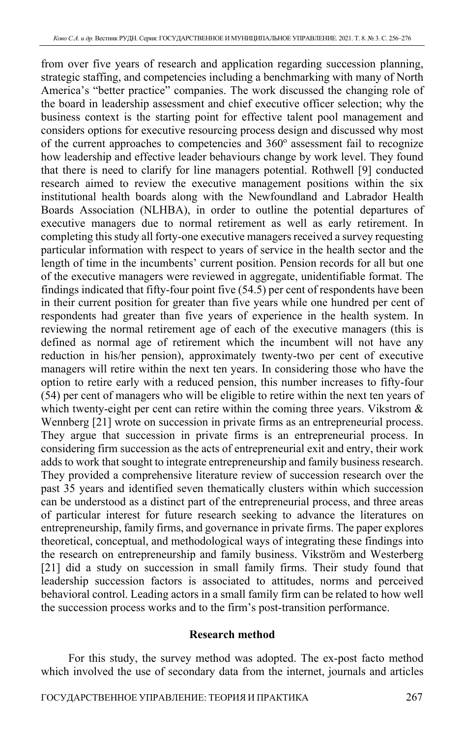from over five years of research and application regarding succession planning, strategic staffing, and competencies including a benchmarking with many of North America's "better practice" companies. The work discussed the changing role of the board in leadership assessment and chief executive officer selection; why the business context is the starting point for effective talent pool management and considers options for executive resourcing process design and discussed why most of the current approaches to competencies and  $360^\circ$  assessment fail to recognize how leadership and effective leader behaviours change by work level. They found that there is need to clarify for line managers potential. Rothwell [9] conducted research aimed to review the executive management positions within the six institutional health boards along with the Newfoundland and Labrador Health Boards Association (NLHBA), in order to outline the potential departures of executive managers due to normal retirement as well as early retirement. In completing this study all forty-one executive managers received a survey requesting particular information with respect to years of service in the health sector and the length of time in the incumbents' current position. Pension records for all but one of the executive managers were reviewed in aggregate, unidentifiable format. The findings indicated that fifty-four point five (54.5) per cent of respondents have been in their current position for greater than five years while one hundred per cent of respondents had greater than five years of experience in the health system. In reviewing the normal retirement age of each of the executive managers (this is defined as normal age of retirement which the incumbent will not have any reduction in his/her pension), approximately twenty-two per cent of executive managers will retire within the next ten years. In considering those who have the option to retire early with a reduced pension, this number increases to fifty-four (54) per cent of managers who will be eligible to retire within the next ten years of which twenty-eight per cent can retire within the coming three years. Vikstrom & Wennberg [21] wrote on succession in private firms as an entrepreneurial process. They argue that succession in private firms is an entrepreneurial process. In considering firm succession as the acts of entrepreneurial exit and entry, their work adds to work that sought to integrate entrepreneurship and family business research. They provided a comprehensive literature review of succession research over the past 35 years and identified seven thematically clusters within which succession can be understood as a distinct part of the entrepreneurial process, and three areas of particular interest for future research seeking to advance the literatures on entrepreneurship, family firms, and governance in private firms. The paper explores theoretical, conceptual, and methodological ways of integrating these findings into the research on entrepreneurship and family business. Vikström and Westerberg [21] did a study on succession in small family firms. Their study found that leadership succession factors is associated to attitudes, norms and perceived behavioral control. Leading actors in a small family firm can be related to how well the succession process works and to the firm's post-transition performance.

#### **Research method**

For this study, the survey method was adopted. The ex-post facto method which involved the use of secondary data from the internet, journals and articles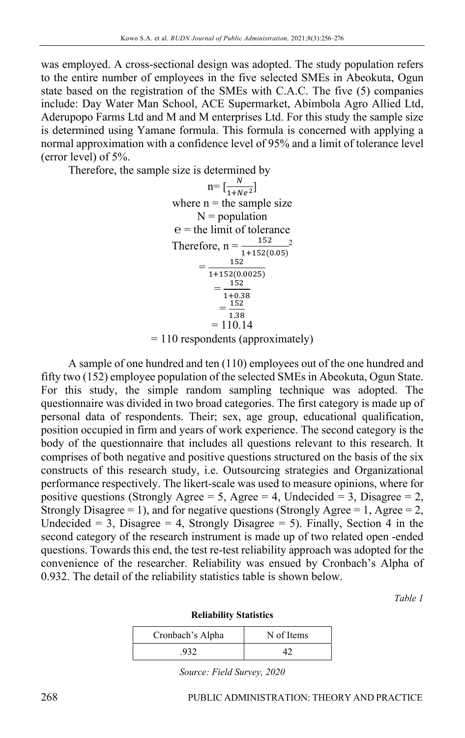was employed. A cross-sectional design was adopted. The study population refers to the entire number of employees in the five selected SMEs in Abeokuta, Ogun state based on the registration of the SMEs with C.A.C. The five (5) companies include: Day Water Man School, ACE Supermarket, Abimbola Agro Allied Ltd, Aderupopo Farms Ltd and M and M enterprises Ltd. For this study the sample size is determined using Yamane formula. This formula is concerned with applying a normal approximation with a confidence level of 95% and a limit of tolerance level (error level) of 5%.

Therefore, the sample size is determined by

$$
n = \left[\frac{N}{1 + Ne^2}\right]
$$
  
where n = the sample size  
N = population  
e = the limit of tolerance  
Therefore, n =  $\frac{152}{1 + 152(0.05)}$   
=  $\frac{152}{1 + 152(0.0025)}$   
=  $\frac{152}{1 + 0.38}$   
=  $\frac{152}{1.38}$   
= 110.14

= 110 respondents (approximately)

A sample of one hundred and ten (110) employees out of the one hundred and fifty two (152) employee population of the selected SMEs in Abeokuta, Ogun State. For this study, the simple random sampling technique was adopted. The questionnaire was divided in two broad categories. The first category is made up of personal data of respondents. Their; sex, age group, educational qualification, position occupied in firm and years of work experience. The second category is the body of the questionnaire that includes all questions relevant to this research. It comprises of both negative and positive questions structured on the basis of the six constructs of this research study, i.e. Outsourcing strategies and Organizational performance respectively. The likert-scale was used to measure opinions, where for positive questions (Strongly Agree = 5, Agree = 4, Undecided = 3, Disagree = 2, Strongly Disagree = 1), and for negative questions (Strongly Agree = 1, Agree = 2, Undecided =  $3$ , Disagree = 4, Strongly Disagree =  $5$ ). Finally, Section 4 in the second category of the research instrument is made up of two related open -ended questions. Towards this end, the test re-test reliability approach was adopted for the convenience of the researcher. Reliability was ensued by Cronbach's Alpha of 0.932. The detail of the reliability statistics table is shown below.

*Table 1* 

| <b>Reliability Statistics</b> |  |
|-------------------------------|--|
|-------------------------------|--|

| Cronbach's Alpha | N of Items |
|------------------|------------|
| .932             |            |

*Source: Field Survey, 2020*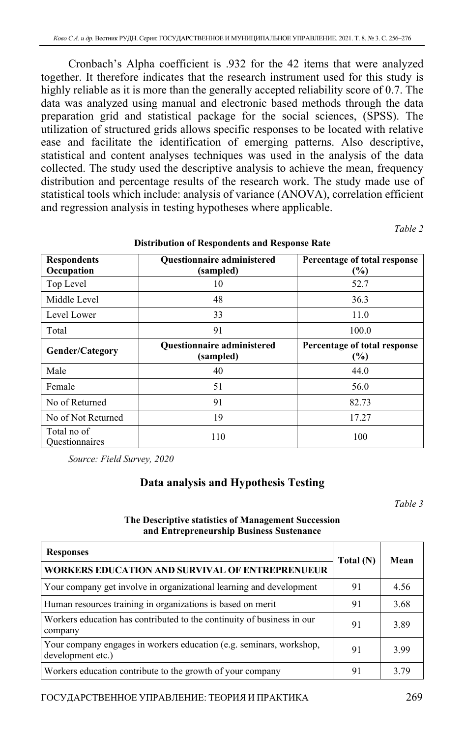Cronbach's Alpha coefficient is .932 for the 42 items that were analyzed together. It therefore indicates that the research instrument used for this study is highly reliable as it is more than the generally accepted reliability score of 0.7. The data was analyzed using manual and electronic based methods through the data preparation grid and statistical package for the social sciences, (SPSS). The utilization of structured grids allows specific responses to be located with relative ease and facilitate the identification of emerging patterns. Also descriptive, statistical and content analyses techniques was used in the analysis of the data collected. The study used the descriptive analysis to achieve the mean, frequency distribution and percentage results of the research work. The study made use of statistical tools which include: analysis of variance (ANOVA), correlation efficient and regression analysis in testing hypotheses where applicable.

*Table 2* 

| <b>Respondents</b><br>Occupation     | <b>Questionnaire administered</b><br>(sampled) | Percentage of total response<br>(%) |
|--------------------------------------|------------------------------------------------|-------------------------------------|
| Top Level                            | 10                                             | 52.7                                |
| Middle Level                         | 48                                             | 36.3                                |
| Level Lower                          | 33                                             | 11.0                                |
| Total                                | 91                                             | 100.0                               |
| <b>Gender/Category</b>               | <b>Questionnaire administered</b><br>(sampled) | Percentage of total response<br>(%) |
| Male                                 | 40                                             | 44.0                                |
| Female                               | 51                                             | 56.0                                |
| No of Returned                       | 91                                             | 82.73                               |
| No of Not Returned                   | 19                                             | 17.27                               |
| Total no of<br><b>Ouestionnaires</b> | 110                                            | 100                                 |

#### **Distribution of Respondents and Response Rate**

*Source: Field Survey, 2020* 

#### **Data analysis and Hypothesis Testing**

*Table 3* 

#### **The Descriptive statistics of Management Succession and Entrepreneurship Business Sustenance**

| <b>Responses</b>                                                                         | Total (N) | Mean |  |
|------------------------------------------------------------------------------------------|-----------|------|--|
| <b>WORKERS EDUCATION AND SURVIVAL OF ENTREPRENUEUR</b>                                   |           |      |  |
| Your company get involve in organizational learning and development                      | 91        | 4.56 |  |
| Human resources training in organizations is based on merit                              | 91        | 3.68 |  |
| Workers education has contributed to the continuity of business in our<br>company        | 91        | 3.89 |  |
| Your company engages in workers education (e.g. seminars, workshop,<br>development etc.) | 91        | 3.99 |  |
| Workers education contribute to the growth of your company                               | 91        | 3.79 |  |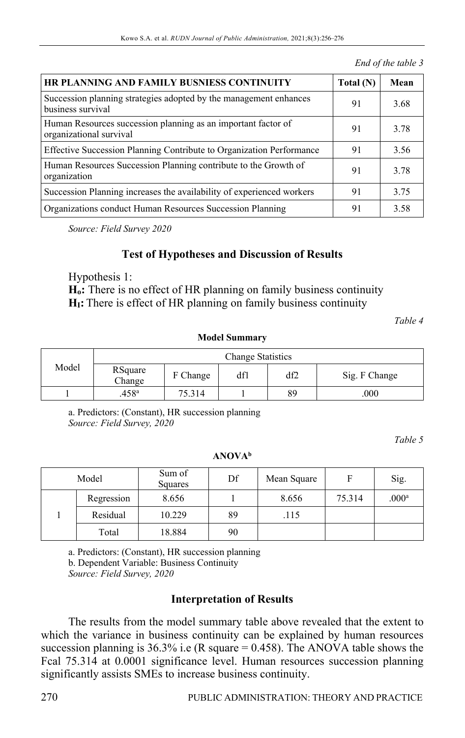*End of the table 3* 

| HR PLANNING AND FAMILY BUSNIESS CONTINUITY                                               | Total (N) | Mean |
|------------------------------------------------------------------------------------------|-----------|------|
| Succession planning strategies adopted by the management enhances<br>business survival   | 91        | 3.68 |
| Human Resources succession planning as an important factor of<br>organizational survival | 91        | 3.78 |
| Effective Succession Planning Contribute to Organization Performance                     | 91        | 3.56 |
| Human Resources Succession Planning contribute to the Growth of<br>organization          | 91        | 3.78 |
| Succession Planning increases the availability of experienced workers                    | 91        | 3.75 |
| Organizations conduct Human Resources Succession Planning                                | 91        | 3.58 |

*Source: Field Survey 2020* 

## **Test of Hypotheses and Discussion of Results**

Hypothesis 1:

**Ho:** There is no effect of HR planning on family business continuity **HI:** There is effect of HR planning on family business continuity

*Table 4* 

**Model Summary**

|       | <b>Change Statistics</b> |          |     |     |               |
|-------|--------------------------|----------|-----|-----|---------------|
| Model | RSquare<br>Change        | F Change | df1 | df2 | Sig. F Change |
|       | .458 <sup>a</sup>        | 75.314   |     | 89  | .000          |

a. Predictors: (Constant), HR succession planning *Source: Field Survey, 2020* 

*Table 5* 

**ANOVAb**

| Model |            | Sum of<br>Squares | Df | Mean Square | F      | Sig.              |
|-------|------------|-------------------|----|-------------|--------|-------------------|
|       | Regression | 8.656             |    | 8.656       | 75.314 | .000 <sup>a</sup> |
|       | Residual   | 10.229            | 89 | .115        |        |                   |
|       | Total      | 18.884            | 90 |             |        |                   |

a. Predictors: (Constant), HR succession planning b. Dependent Variable: Business Continuity *Source: Field Survey, 2020* 

### **Interpretation of Results**

The results from the model summary table above revealed that the extent to which the variance in business continuity can be explained by human resources succession planning is  $36.3\%$  i.e (R square = 0.458). The ANOVA table shows the Fcal 75.314 at 0.0001 significance level. Human resources succession planning significantly assists SMEs to increase business continuity.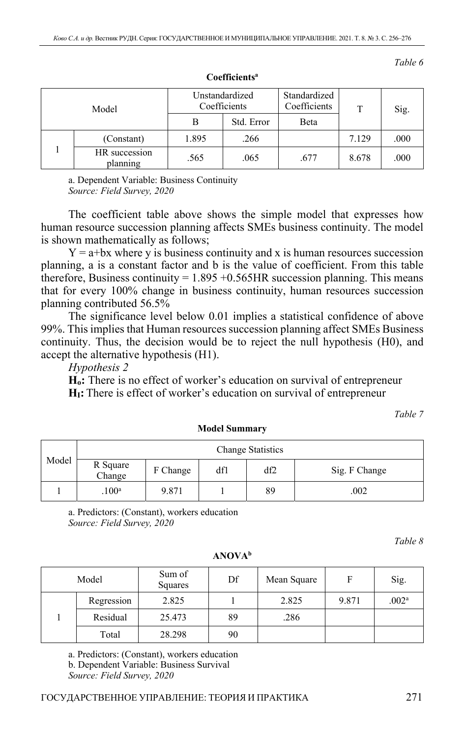| Model |                           | Unstandardized<br>Coefficients |            | Standardized<br>Coefficients | T     | Sig. |
|-------|---------------------------|--------------------------------|------------|------------------------------|-------|------|
|       |                           | В                              | Std. Error | Beta                         |       |      |
|       | (Constant)                | 1.895                          | .266       |                              | 7.129 | .000 |
|       | HR succession<br>planning | .565                           | .065       | .677                         | 8.678 | .000 |

**Coefficientsa**

a. Dependent Variable: Business Continuity *Source: Field Survey, 2020* 

The coefficient table above shows the simple model that expresses how human resource succession planning affects SMEs business continuity. The model is shown mathematically as follows;

 $Y = a + bx$  where y is business continuity and x is human resources succession planning, a is a constant factor and b is the value of coefficient. From this table therefore, Business continuity =  $1.895 + 0.565$  HR succession planning. This means that for every 100% change in business continuity, human resources succession planning contributed 56.5%

The significance level below 0.01 implies a statistical confidence of above 99%. This implies that Human resources succession planning affect SMEs Business continuity. Thus, the decision would be to reject the null hypothesis (H0), and accept the alternative hypothesis (H1).

*Hypothesis 2* 

**Ho:** There is no effect of worker's education on survival of entrepreneur **HI:** There is effect of worker's education on survival of entrepreneur

*Table 7* 

|       | <b>Change Statistics</b>       |       |     |     |               |  |  |
|-------|--------------------------------|-------|-----|-----|---------------|--|--|
| Model | R Square<br>F Change<br>Change |       | df1 | df2 | Sig. F Change |  |  |
|       | .100 <sup>a</sup>              | 9.871 |     | 89  | .002          |  |  |

**Model Summary**

a. Predictors: (Constant), workers education *Source: Field Survey, 2020* 

*Table 8* 

| Model |            | Sum of<br>Squares | Df | Mean Square | F     | Sig.              |
|-------|------------|-------------------|----|-------------|-------|-------------------|
|       | Regression | 2.825             |    | 2.825       | 9.871 | .002 <sup>a</sup> |
|       | Residual   | 25.473            | 89 | .286        |       |                   |
|       | Total      | 28.298            | 90 |             |       |                   |

**ANOVAb**

a. Predictors: (Constant), workers education b. Dependent Variable: Business Survival *Source: Field Survey, 2020*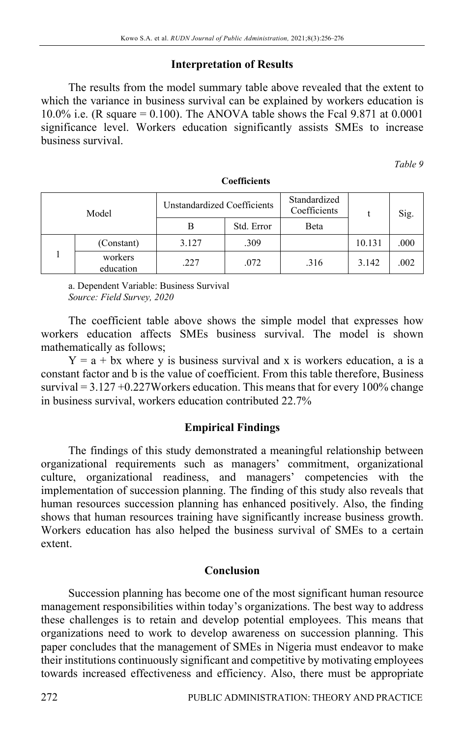## **Interpretation of Results**

The results from the model summary table above revealed that the extent to which the variance in business survival can be explained by workers education is 10.0% i.e. (R square  $= 0.100$ ). The ANOVA table shows the Fcal 9.871 at 0.0001 significance level. Workers education significantly assists SMEs to increase business survival.

*Table 9* 

| Model |                      | Unstandardized Coefficients |            | Standardized<br>Coefficients |        | Sig. |
|-------|----------------------|-----------------------------|------------|------------------------------|--------|------|
|       |                      |                             | Std. Error | Beta                         |        |      |
|       | (Constant)           | 3.127                       | .309       |                              | 10.131 | .000 |
|       | workers<br>education | .227                        | .072       | .316                         | 3.142  | .002 |

#### **Coefficients**

a. Dependent Variable: Business Survival *Source: Field Survey, 2020* 

The coefficient table above shows the simple model that expresses how workers education affects SMEs business survival. The model is shown mathematically as follows;

 $Y = a + bx$  where y is business survival and x is workers education, a is a constant factor and b is the value of coefficient. From this table therefore, Business survival  $= 3.127 + 0.227$ Workers education. This means that for every 100% change in business survival, workers education contributed 22.7%

### **Empirical Findings**

The findings of this study demonstrated a meaningful relationship between organizational requirements such as managers' commitment, organizational culture, organizational readiness, and managers' competencies with the implementation of succession planning. The finding of this study also reveals that human resources succession planning has enhanced positively. Also, the finding shows that human resources training have significantly increase business growth. Workers education has also helped the business survival of SMEs to a certain extent.

### **Conclusion**

Succession planning has become one of the most significant human resource management responsibilities within today's organizations. The best way to address these challenges is to retain and develop potential employees. This means that organizations need to work to develop awareness on succession planning. This paper concludes that the management of SMEs in Nigeria must endeavor to make their institutions continuously significant and competitive by motivating employees towards increased effectiveness and efficiency. Also, there must be appropriate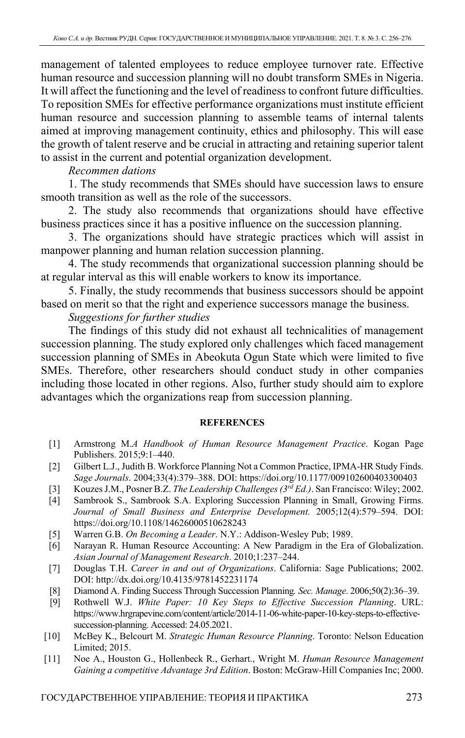management of talented employees to reduce employee turnover rate. Effective human resource and succession planning will no doubt transform SMEs in Nigeria. It will affect the functioning and the level of readiness to confront future difficulties. To reposition SMEs for effective performance organizations must institute efficient human resource and succession planning to assemble teams of internal talents aimed at improving management continuity, ethics and philosophy. This will ease the growth of talent reserve and be crucial in attracting and retaining superior talent to assist in the current and potential organization development.

### *Recommen dations*

1. The study recommends that SMEs should have succession laws to ensure smooth transition as well as the role of the successors.

2. The study also recommends that organizations should have effective business practices since it has a positive influence on the succession planning.

3. The organizations should have strategic practices which will assist in manpower planning and human relation succession planning.

4. The study recommends that organizational succession planning should be at regular interval as this will enable workers to know its importance.

5. Finally, the study recommends that business successors should be appoint based on merit so that the right and experience successors manage the business.

### *Suggestions for further studies*

The findings of this study did not exhaust all technicalities of management succession planning. The study explored only challenges which faced management succession planning of SMEs in Abeokuta Ogun State which were limited to five SMEs. Therefore, other researchers should conduct study in other companies including those located in other regions. Also, further study should aim to explore advantages which the organizations reap from succession planning.

#### **REFERENCES**

- [1] Аrmstrong M.*A Handbook of Human Resource Management Practice*. Kogan Page Publishers. 2015;9:1–440.
- [2] Gilbert L.J., Judith B. Workforce Planning Not a Common Practice, IPMA-HR Study Finds. *Sage Journals*. 2004;33(4):379–388. DOI: https://doi.org/10.1177/009102600403300403
- [3] Kouzes J.M., Posner B.Z. *The Leadership Challenges (3rd Ed.)*. San Francisco: Wiley; 2002.
- [4] Sambrook S., Sambrook S.A. Exploring Succession Planning in Small, Growing Firms. *Journal of Small Business and Enterprise Development.* 2005;12(4):579–594. DOI: https://doi.org/10.1108/14626000510628243
- [5] Warren G.B. *On Becoming a Leader*. N.Y.: Addison-Wesley Pub; 1989.
- [6] Narayan R. Human Resource Accounting: A New Paradigm in the Era of Globalization. *Asian Journal of Management Research*. 2010;1:237–244.
- [7] Douglas T.H. *Career in and out of Organizations*. California: Sage Publications; 2002. DOI: http://dx.doi.org/10.4135/9781452231174
- [8] Diamond A. Finding Success Through Succession Planning*. Sec. Manage*. 2006;50(2):36–39.
- [9] Rothwell W.J. *White Paper: 10 Key Steps to Effective Succession Planning*. URL: https://www.hrgrapevine.com/content/article/2014-11-06-white-paper-10-key-steps-to-effectivesuccession-planning. Accessed: 24.05.2021.
- [10] McBey K., Belcourt M. *Strategic Human Resource Planning*. Toronto: Nelson Education Limited; 2015.
- [11] Noe A., Houston G., Hollenbeck R., Gerhart., Wright M. *Human Resource Management Gaining a competitive Advantage 3rd Edition*. Boston: McGraw-Hill Companies Inc; 2000.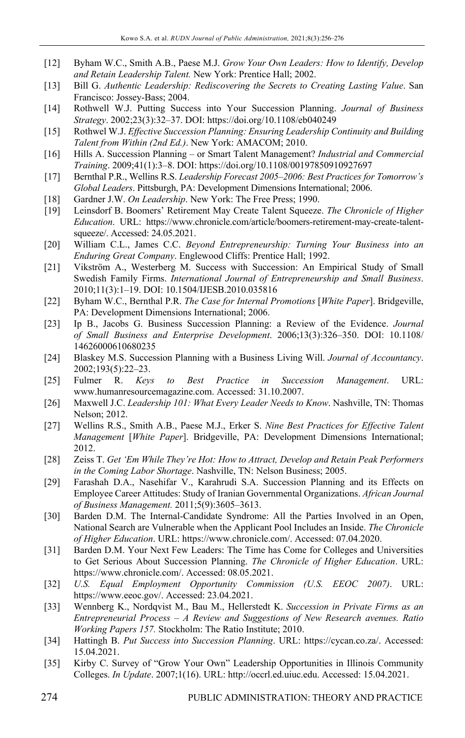- [12] Byham W.C., Smith A.B., Paese M.J. *Grow Your Own Leaders: How to Identify, Develop and Retain Leadership Talent.* New York: Prentice Hall; 2002.
- [13] Bill G. *Authentic Leadership: Rediscovering the Secrets to Creating Lasting Value*. San Francisco: Jossey-Bass; 2004.
- [14] Rothwell W.J. Putting Success into Your Succession Planning. *Journal of Business Strategy*. 2002;23(3):32–37. DOI: https://doi.org/10.1108/eb040249
- [15] Rothwel W.J. *Effective Succession Planning: Ensuring Leadership Continuity and Building Talent from Within (2nd Ed.)*. New York: AMACOM; 2010.
- [16] Hills A. Succession Planning or Smart Talent Management? *Industrial and Commercial Training*. 2009;41(1):3–8. DOI: https://doi.org/10.1108/00197850910927697
- [17] Bernthal P.R., Wellins R.S. *Leadership Forecast 2005–2006: Best Practices for Tomorrow's Global Leaders*. Pittsburgh, PA: Development Dimensions International; 2006.
- [18] Gardner J.W. *On Leadership*. New York: The Free Press; 1990.
- [19] Leinsdorf B. Boomers' Retirement May Create Talent Squeeze. *The Chronicle of Higher Education*. URL: https://www.chronicle.com/article/boomers-retirement-may-create-talentsqueeze/. Accessed: 24.05.2021.
- [20] William C.L., James C.C. *Beyond Entrepreneurship: Turning Your Business into an Enduring Great Company*. Englewood Cliffs: Prentice Hall; 1992.
- [21] Vikström A., Westerberg M. Success with Succession: An Empirical Study of Small Swedish Family Firms. *International Journal of Entrepreneurship and Small Business*. 2010;11(3):1–19. DOI: 10.1504/IJESB.2010.035816
- [22] Byham W.C., Bernthal P.R. *The Case for Internal Promotions* [*White Paper*]. Bridgeville, PA: Development Dimensions International; 2006.
- [23] Ip B., Jacobs G. Business Succession Planning: a Review of the Evidence. *Journal of Small Business and Enterprise Development*. 2006;13(3):326–350. DOI: 10.1108/ 14626000610680235
- [24] Blaskey M.S. Succession Planning with a Business Living Will. *Journal of Accountancy*. 2002;193(5):22–23.
- [25] Fulmer R. *Keys to Best Practice in Succession Management*. URL: www.humanresourcemagazine.com. Accessed: 31.10.2007.
- [26] Maxwell J.C. *Leadership 101: What Every Leader Needs to Know*. Nashville, TN: Thomas Nelson; 2012.
- [27] Wellins R.S., Smith A.B., Paese M.J., Erker S. *Nine Best Practices for Effective Talent Management* [*White Paper*]. Bridgeville, PA: Development Dimensions International; 2012.
- [28] Zeiss T. *Get 'Em While They're Hot: How to Attract, Develop and Retain Peak Performers in the Coming Labor Shortage*. Nashville, TN: Nelson Business; 2005.
- [29] Farashah D.A., Nasehifar V., Karahrudi S.A. Succession Planning and its Effects on Employee Career Attitudes: Study of Iranian Governmental Organizations. *African Journal of Business Management.* 2011;5(9):3605–3613.
- [30] Barden D.M. The Internal-Candidate Syndrome: All the Parties Involved in an Open, National Search are Vulnerable when the Applicant Pool Includes an Inside. *The Chronicle of Higher Education*. URL: https://www.chronicle.com/. Accessed: 07.04.2020.
- [31] Barden D.M. Your Next Few Leaders: The Time has Come for Colleges and Universities to Get Serious About Succession Planning. *The Chronicle of Higher Education*. URL: https://www.chronicle.com/. Accessed: 08.05.2021.
- [32] *U.S. Equal Employment Opportunity Commission (U.S. EEOC 2007)*. URL: https://www.eeoc.gov/. Accessed: 23.04.2021.
- [33] Wennberg K., Nordqvist M., Bau M., Hellerstedt K. *Succession in Private Firms as an Entrepreneurial Process – A Review and Suggestions of New Research avenues. Ratio Working Papers 157.* Stockholm: The Ratio Institute; 2010.
- [34] Hattingh B. *Put Success into Succession Planning*. URL: https://cycan.co.za/. Accessed: 15.04.2021.
- [35] Kirby C. Survey of "Grow Your Own" Leadership Opportunities in Illinois Community Colleges. *In Update*. 2007;1(16). URL: http://occrl.ed.uiuc.edu. Accessed: 15.04.2021.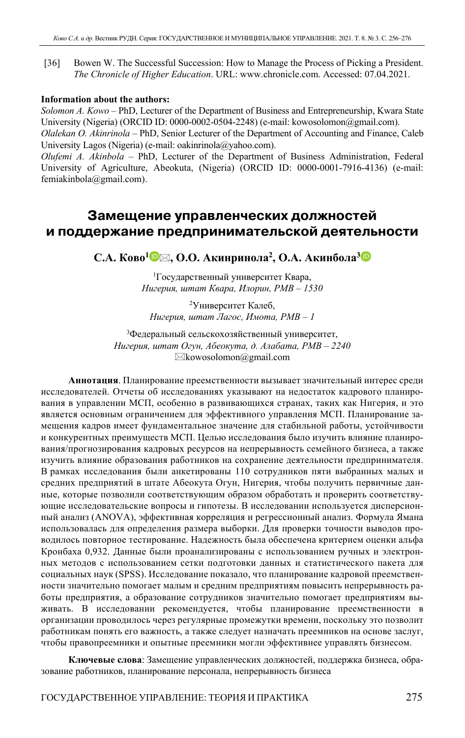[36] Bowen W. The Successful Succession: How to Manage the Process of Picking a President. *The Chronicle of Higher Education*. URL: www.chronicle.com. Accessed: 07.04.2021.

#### **Information about the authors:**

*Solomon A. Kowo* – PhD, Lecturer of the Department of Business and Entrepreneurship, Kwara State University (Nigeria) (ORCID ID: 0000-0002-0504-2248) (e-mail: kowosolomon@gmail.com).

*Olalekan O. Akinrinola* – PhD, Senior Lecturer of the Department of Accounting and Finance, Caleb University Lagos (Nigeria) (e-mail: oakinrinola@yahoo.com).

*Olufemi A. Akinbola* – PhD, Lecturer of the Department of Business Administration, Federal University of Agriculture, Abeokuta, (Nigeria) (ORCID ID: 0000-0001-7916-4136) (e-mail: femiakinbola@gmail.com).

# **Замещение управленческих должностей и поддержание предпринимательской деятельности**

**С.А. Ково<sup>1</sup> , О.О. Акинринола2, О.А. Акинбола[3](https://orcid.org/0000-0001-7916-4136)**

1 Государственный университет Квара, *Нигерия, штат Квара, Илорин, PMB – 1530* 

2 Университет Калеб, *Нигерия, штат Лагос, Имота, PMB – 1* 

3 Федеральный сельскохозяйственный университет, *Нигерия, штат Огун, Абеокута, д. Алабата, PMB – 2240*   $\boxtimes$ kowosolomon $@g$ mail.com

**Аннотация**. Планирование преемственности вызывает значительный интерес среди исследователей. Отчеты об исследованиях указывают на недостаток кадрового планирования в управлении МСП, особенно в развивающихся странах, таких как Нигерия, и это является основным ограничением для эффективного управления МСП. Планирование замещения кадров имеет фундаментальное значение для стабильной работы, устойчивости и конкурентных преимуществ МСП. Целью исследования было изучить влияние планирования/прогнозирования кадровых ресурсов на непрерывность семейного бизнеса, а также изучить влияние образования работников на сохранение деятельности предпринимателя. В рамках исследования были анкетированы 110 сотрудников пяти выбранных малых и средних предприятий в штате Абеокута Огун, Нигерия, чтобы получить первичные данные, которые позволили соответствующим образом обработать и проверить соответствующие исследовательские вопросы и гипотезы. В исследовании используется дисперсионный анализ (ANOVA), эффективная корреляция и регрессионный анализ. Формула Ямана использовалась для определения размера выборки. Для проверки точности выводов проводилось повторное тестирование. Надежность была обеспечена критерием оценки альфа Кронбаха 0,932. Данные были проанализированы с использованием ручных и электронных методов с использованием сетки подготовки данных и статистического пакета для социальных наук (SPSS). Исследование показало, что планирование кадровой преемственности значительно помогает малым и средним предприятиям повысить непрерывность работы предприятия, а образование сотрудников значительно помогает предприятиям выживать. В исследовании рекомендуется, чтобы планирование преемственности в организации проводилось через регулярные промежутки времени, поскольку это позволит работникам понять его важность, а также следует назначать преемников на основе заслуг, чтобы правопреемники и опытные преемники могли эффективнее управлять бизнесом.

**Ключевые слова**: Замещение управленческих должностей, поддержка бизнеса, образование работников, планирование персонала, непрерывность бизнеса